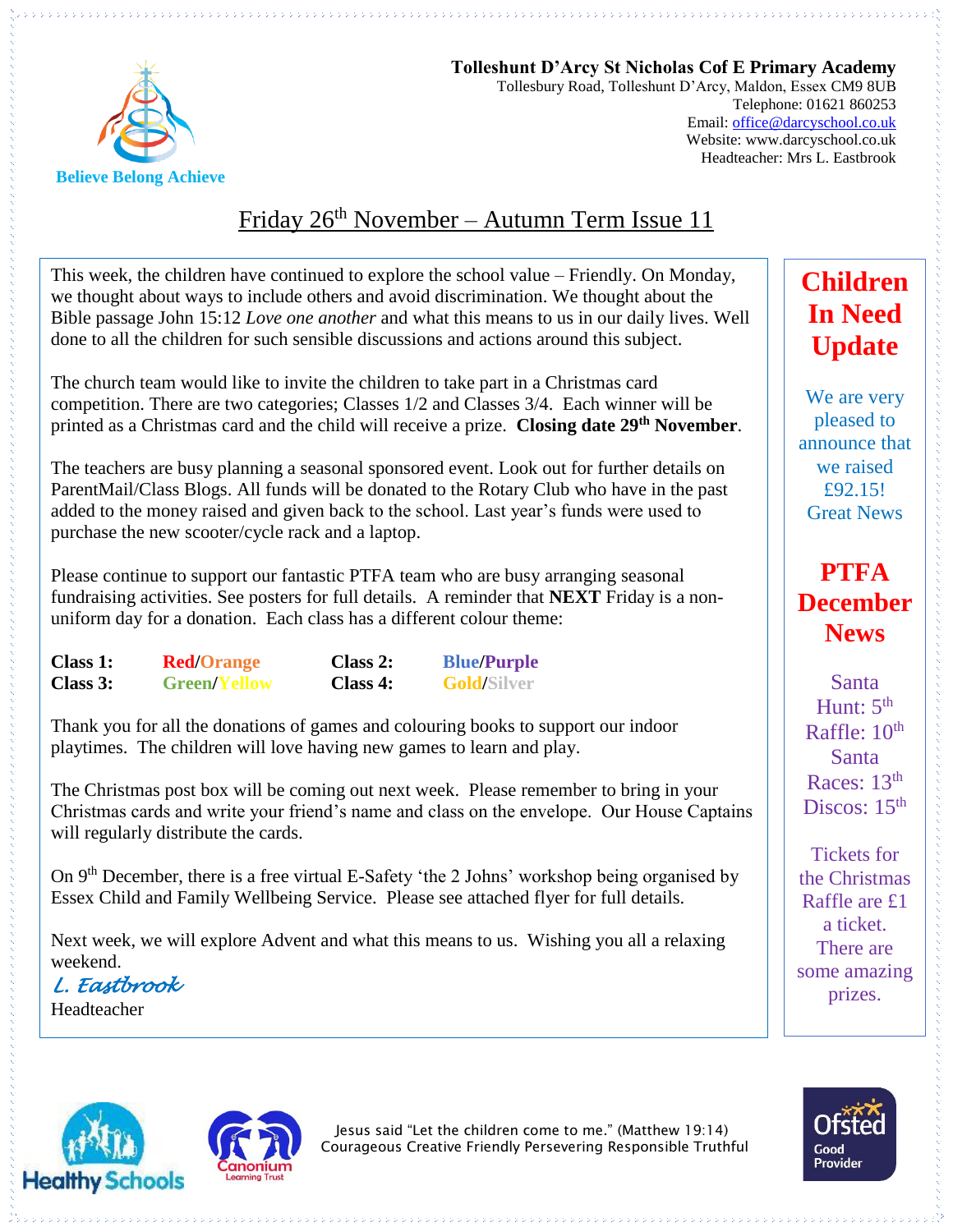

**Tolleshunt D'Arcy St Nicholas Cof E Primary Academy** Tollesbury Road, Tolleshunt D'Arcy, Maldon, Essex CM9 8UB Telephone: 01621 860253 Email[: office@darcyschool.co.uk](mailto:office@darcyschool.co.uk) Website: www.darcyschool.co.uk Headteacher: Mrs L. Eastbrook

## Friday 26<sup>th</sup> November – Autumn Term Issue 11

This week, the children have continued to explore the school value – Friendly. On Monday, we thought about ways to include others and avoid discrimination. We thought about the Bible passage John 15:12 *Love one another* and what this means to us in our daily lives. Well done to all the children for such sensible discussions and actions around this subject.

The church team would like to invite the children to take part in a Christmas card competition. There are two categories; Classes 1/2 and Classes 3/4. Each winner will be printed as a Christmas card and the child will receive a prize. **Closing date 29th November**.

The teachers are busy planning a seasonal sponsored event. Look out for further details on ParentMail/Class Blogs. All funds will be donated to the Rotary Club who have in the past added to the money raised and given back to the school. Last year's funds were used to purchase the new scooter/cycle rack and a laptop.

Please continue to support our fantastic PTFA team who are busy arranging seasonal fundraising activities. See posters for full details. A reminder that **NEXT** Friday is a nonuniform day for a donation. Each class has a different colour theme:

| Class 1: | <b>Red/Orange</b>   | Class $2:$ | <b>Blue/Purple</b> |
|----------|---------------------|------------|--------------------|
| Class 3: | <b>Green/Yellow</b> | Class 4:   | <b>Gold/Silver</b> |

Thank you for all the donations of games and colouring books to support our indoor playtimes. The children will love having new games to learn and play.

The Christmas post box will be coming out next week. Please remember to bring in your Christmas cards and write your friend's name and class on the envelope. Our House Captains will regularly distribute the cards.

On 9th December, there is a free virtual E-Safety 'the 2 Johns' workshop being organised by Essex Child and Family Wellbeing Service. Please see attached flyer for full details.

Next week, we will explore Advent and what this means to us. Wishing you all a relaxing weekend.

*L. Eastbrook* 

Headteacher





Jesus said "Let the children come to me." (Matthew 19:14) Courageous Creative Friendly Persevering Responsible Truthful

## **Children In Need Update**

We are very pleased to announce that we raised £92.15! Great News

## **PTFA December News**

Santa Hunt:  $5<sup>th</sup>$ Raffle: 10<sup>th</sup> Santa Races: 13<sup>th</sup> Discos:  $15<sup>th</sup>$ 

Tickets for the Christmas Raffle are £1 a ticket. There are some amazing prizes.